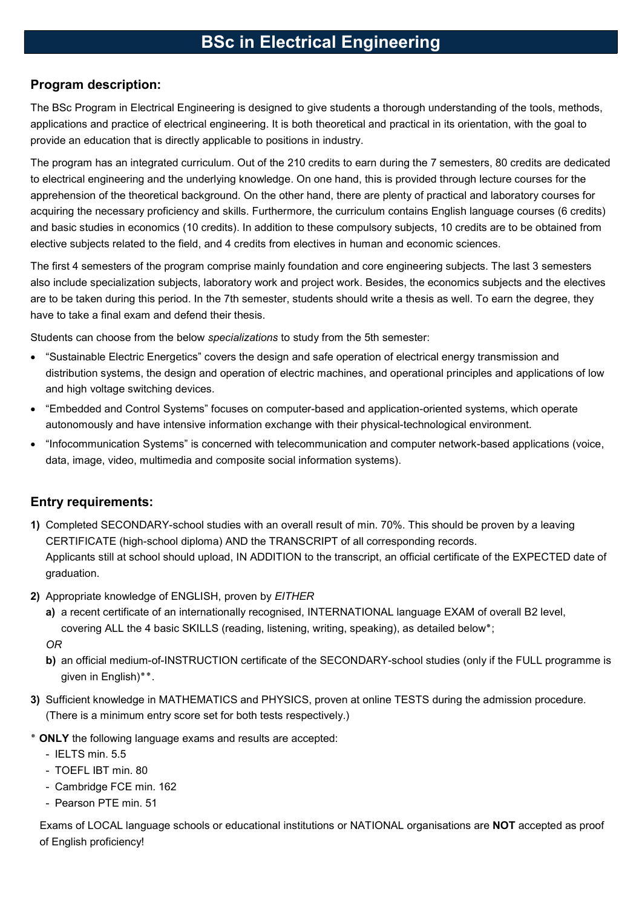# BSc in Electrical Engineering

### Program description:

The BSc Program in Electrical Engineering is designed to give students a thorough understanding of the tools, methods, applications and practice of electrical engineering. It is both theoretical and practical in its orientation, with the goal to provide an education that is directly applicable to positions in industry.

The program has an integrated curriculum. Out of the 210 credits to earn during the 7 semesters, 80 credits are dedicated to electrical engineering and the underlying knowledge. On one hand, this is provided through lecture courses for the apprehension of the theoretical background. On the other hand, there are plenty of practical and laboratory courses for acquiring the necessary proficiency and skills. Furthermore, the curriculum contains English language courses (6 credits) and basic studies in economics (10 credits). In addition to these compulsory subjects, 10 credits are to be obtained from elective subjects related to the field, and 4 credits from electives in human and economic sciences.

The first 4 semesters of the program comprise mainly foundation and core engineering subjects. The last 3 semesters also include specialization subjects, laboratory work and project work. Besides, the economics subjects and the electives are to be taken during this period. In the 7th semester, students should write a thesis as well. To earn the degree, they have to take a final exam and defend their thesis.

Students can choose from the below specializations to study from the 5th semester:

- "Sustainable Electric Energetics" covers the design and safe operation of electrical energy transmission and distribution systems, the design and operation of electric machines, and operational principles and applications of low and high voltage switching devices.
- "Embedded and Control Systems" focuses on computer-based and application-oriented systems, which operate autonomously and have intensive information exchange with their physical-technological environment.
- "Infocommunication Systems" is concerned with telecommunication and computer network-based applications (voice, data, image, video, multimedia and composite social information systems).

## Entry requirements:

- 1) Completed SECONDARY-school studies with an overall result of min. 70%. This should be proven by a leaving CERTIFICATE (high-school diploma) AND the TRANSCRIPT of all corresponding records. Applicants still at school should upload, IN ADDITION to the transcript, an official certificate of the EXPECTED date of graduation.
- 2) Appropriate knowledge of ENGLISH, proven by EITHER
	- a) a recent certificate of an internationally recognised, INTERNATIONAL language EXAM of overall B2 level, covering ALL the 4 basic SKILLS (reading, listening, writing, speaking), as detailed below٭;

OR

- b) an official medium-of-INSTRUCTION certificate of the SECONDARY-school studies (only if the FULL programme is given in English)٭٭.
- 3) Sufficient knowledge in MATHEMATICS and PHYSICS, proven at online TESTS during the admission procedure. (There is a minimum entry score set for both tests respectively.)
- ٭ ONLY the following language exams and results are accepted:
	- IELTS min. 5.5
	- TOEFL IBT min. 80
	- Cambridge FCE min. 162
	- Pearson PTE min. 51

Exams of LOCAL language schools or educational institutions or NATIONAL organisations are NOT accepted as proof of English proficiency!